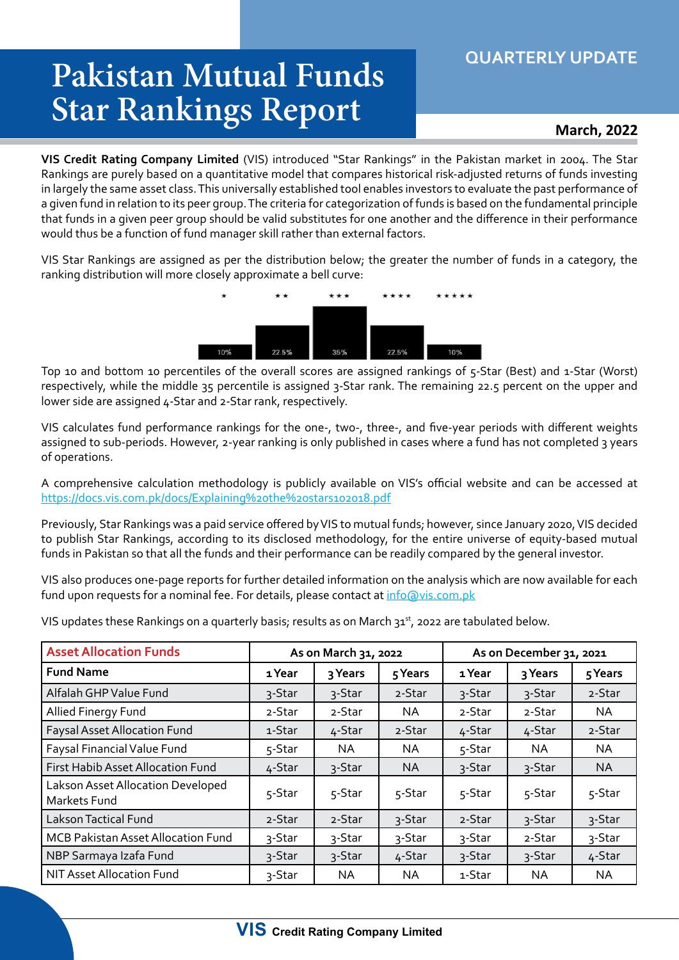## **QUARTERLY UPDATE**

## **Pakistan Mutual Funds Star Rankings Report**

## **March, 2022**

**VIS Credit Rating Company Limited** (VIS) introduced "Star Rankings" in the Pakistan market in 2004. The Star Rankings are purely based on a quantitative model that compares historical risk-adjusted returns of funds investing in largely the same asset class. This universally established tool enables investors to evaluate the past performance of a given fund in relation to its peer group. The criteria for categorization of funds is based on the fundamental principle that funds in a given peer group should be valid substitutes for one another and the difference in their performance would thus be a function of fund manager skill rather than external factors.

VIS Star Rankings are assigned as per the distribution below; the greater the number of funds in a category, the ranking distribution will more closely approximate a bell curve:



Top 10 and bottom 10 percentiles of the overall scores are assigned rankings of 5-Star (Best) and 1-Star (Worst) respectively, while the middle 35 percentile is assigned 3-Star rank. The remaining 22.5 percent on the upper and lower side are assigned 4-Star and 2-Star rank, respectively.

VIS calculates fund performance rankings for the one-, two-, three-, and five-year periods with different weights assigned to sub-periods. However, 2-year ranking is only published in cases where a fund has not completed 3 years of operations.

A comprehensive calculation methodology is publicly available on VIS's official website and can be accessed at https://docs.vis.com.pk/docs/Explaining%20the%20stars102018.pdf

Previously, Star Rankings was a paid service offered by VIS to mutual funds; however, since January 2020, VIS decided to publish Star Rankings, according to its disclosed methodology, for the entire universe of equity-based mutual funds in Pakistan so that all the funds and their performance can be readily compared by the general investor.

VIS also produces one-page reports for further detailed information on the analysis which are now available for each fund upon requests for a nominal fee. For details, please contact at info@vis.com.pk

VIS updates these Rankings on a quarterly basis; results as on March 31st, 2022 are tabulated below.

| <b>Asset Allocation Funds</b>                     |        | As on March 31, 2022 | As on December 31, 2021 |        |           |           |
|---------------------------------------------------|--------|----------------------|-------------------------|--------|-----------|-----------|
| <b>Fund Name</b>                                  | 1 Year | 3 Years              | 5 Years                 | 1 Year | 3 Years   | 5 Years   |
| Alfalah GHP Value Fund                            | 3-Star | 3-Star               | 2-Star                  | 3-Star | 3-Star    | 2-Star    |
| Allied Finergy Fund                               | 2-Star | 2-Star               | NA.                     | 2-Star | 2-Star    | NA.       |
| <b>Faysal Asset Allocation Fund</b>               | 1-Star | 4-Star               | 2-Star                  | 4-Star | 4-Star    | 2-Star    |
| Faysal Financial Value Fund                       | 5-Star | NA.                  | NA                      | 5-Star | NA.       | NA.       |
| First Habib Asset Allocation Fund                 | 4-Star | 3-Star               | <b>NA</b>               | 3-Star | 3-Star    | <b>NA</b> |
| Lakson Asset Allocation Developed<br>Markets Fund | 5-Star | 5-Star               | 5-Star                  | 5-Star | 5-Star    | 5-Star    |
| Lakson Tactical Fund                              | 2-Star | 2-Star               | 3-Star                  | 2-Star | 3-Star    | 3-Star    |
| MCB Pakistan Asset Allocation Fund                | 3-Star | 3-Star               | 3-Star                  | 3-Star | 2-Star    | 3-Star    |
| NBP Sarmaya Izafa Fund                            | 3-Star | 3-Star               | 4-Star                  | 3-Star | 3-Star    | 4-Star    |
| NIT Asset Allocation Fund                         | 3-Star | NA.                  | <b>NA</b>               | 1-Star | <b>NA</b> | <b>NA</b> |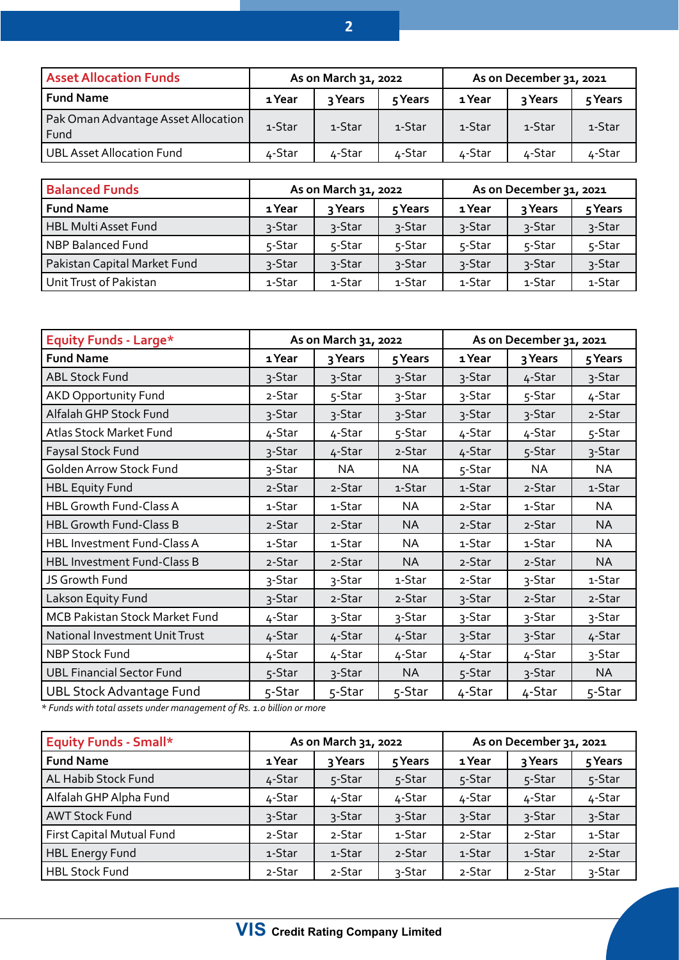| <b>Asset Allocation Funds</b>               | As on March 31, 2022 |         |         | As on December 31, 2021 |         |         |
|---------------------------------------------|----------------------|---------|---------|-------------------------|---------|---------|
| Fund Name                                   | 1 Year               | २ Years | 5 Years | 1 Year                  | २ Years | 5 Years |
| Pak Oman Advantage Asset Allocation<br>Fund | 1-Star               | 1-Star  | 1-Star  | 1-Star                  | 1-Star  | 1-Star  |
| UBL Asset Allocation Fund                   | ∡-Star               | ∡-Star  | ∡-Star  | 4-Star                  | 4-Star  | 4-Star  |

| <b>Balanced Funds</b>        |        | As on March 31, 2022 | As on December 31, 2021 |        |         |         |
|------------------------------|--------|----------------------|-------------------------|--------|---------|---------|
| <b>Fund Name</b>             | 1 Year | २ Years              | 5 Years                 | 1 Year | २ Years | 5 Years |
| <b>HBL Multi Asset Fund</b>  | 3-Star | 3-Star               | 3-Star                  | 3-Star | 3-Star  | 3-Star  |
| <b>NBP Balanced Fund</b>     | 5-Star | 5-Star               | 5-Star                  | 5-Star | 5-Star  | 5-Star  |
| Pakistan Capital Market Fund | 3-Star | 3-Star               | 3-Star                  | 3-Star | 3-Star  | 3-Star  |
| Unit Trust of Pakistan       | 1-Star | 1-Star               | 1-Star                  | 1-Star | 1-Star  | 1-Star  |

| <b>Equity Funds - Large*</b>       | As on March 31, 2022 |         | As on December 31, 2021 |        |           |           |
|------------------------------------|----------------------|---------|-------------------------|--------|-----------|-----------|
| <b>Fund Name</b>                   | 1 Year               | 3 Years | 5 Years                 | 1 Year | 3 Years   | 5 Years   |
| <b>ABL Stock Fund</b>              | 3-Star               | 3-Star  | 3-Star                  | 3-Star | 4-Star    | 3-Star    |
| <b>AKD Opportunity Fund</b>        | 2-Star               | 5-Star  | 3-Star                  | 3-Star | 5-Star    | 4-Star    |
| Alfalah GHP Stock Fund             | 3-Star               | 3-Star  | 3-Star                  | 3-Star | 3-Star    | 2-Star    |
| Atlas Stock Market Fund            | 4-Star               | 4-Star  | 5-Star                  | 4-Star | 4-Star    | 5-Star    |
| Faysal Stock Fund                  | 3-Star               | 4-Star  | 2-Star                  | 4-Star | 5-Star    | 3-Star    |
| <b>Golden Arrow Stock Fund</b>     | 3-Star               | NA      | NA                      | 5-Star | <b>NA</b> | NA.       |
| <b>HBL Equity Fund</b>             | 2-Star               | 2-Star  | 1-Star                  | 1-Star | 2-Star    | 1-Star    |
| <b>HBL Growth Fund-Class A</b>     | 1-Star               | 1-Star  | <b>NA</b>               | 2-Star | 1-Star    | <b>NA</b> |
| <b>HBL Growth Fund-Class B</b>     | 2-Star               | 2-Star  | <b>NA</b>               | 2-Star | 2-Star    | <b>NA</b> |
| HBL Investment Fund-Class A        | 1-Star               | 1-Star  | ΝA                      | 1-Star | 1-Star    | NA        |
| <b>HBL Investment Fund-Class B</b> | 2-Star               | 2-Star  | <b>NA</b>               | 2-Star | 2-Star    | <b>NA</b> |
| JS Growth Fund                     | 3-Star               | 3-Star  | 1-Star                  | 2-Star | 3-Star    | 1-Star    |
| Lakson Equity Fund                 | 3-Star               | 2-Star  | 2-Star                  | 3-Star | 2-Star    | 2-Star    |
| MCB Pakistan Stock Market Fund     | 4-Star               | 3-Star  | 3-Star                  | 3-Star | 3-Star    | 3-Star    |
| National Investment Unit Trust     | 4-Star               | 4-Star  | 4-Star                  | 3-Star | 3-Star    | 4-Star    |
| <b>NBP Stock Fund</b>              | 4-Star               | 4-Star  | 4-Star                  | 4-Star | 4-Star    | 3-Star    |
| <b>UBL Financial Sector Fund</b>   | 5-Star               | 3-Star  | <b>NA</b>               | 5-Star | 3-Star    | <b>NA</b> |
| <b>UBL Stock Advantage Fund</b>    | 5-Star               | 5-Star  | 5-Star                  | 4-Star | 4-Star    | 5-Star    |

*\* Funds with total assets under management of Rs. 1.0 billion or more*

| <b>Equity Funds - Small*</b> |        | As on March 31, 2022 |         | As on December 31, 2021 |         |         |
|------------------------------|--------|----------------------|---------|-------------------------|---------|---------|
| <b>Fund Name</b>             | 1 Year | 3 Years              | 5 Years | 1 Year                  | 3 Years | 5 Years |
| AL Habib Stock Fund          | 4-Star | 5-Star               | 5-Star  | 5-Star                  | 5-Star  | 5-Star  |
| Alfalah GHP Alpha Fund       | 4-Star | 4-Star               | 4-Star  | 4-Star                  | 4-Star  | 4-Star  |
| <b>AWT Stock Fund</b>        | 3-Star | 3-Star               | 3-Star  | 3-Star                  | 3-Star  | 3-Star  |
| First Capital Mutual Fund    | 2-Star | 2-Star               | 1-Star  | 2-Star                  | 2-Star  | 1-Star  |
| <b>HBL Energy Fund</b>       | 1-Star | 1-Star               | 2-Star  | 1-Star                  | 1-Star  | 2-Star  |
| <b>HBL Stock Fund</b>        | 2-Star | 2-Star               | 3-Star  | 2-Star                  | 2-Star  | 3-Star  |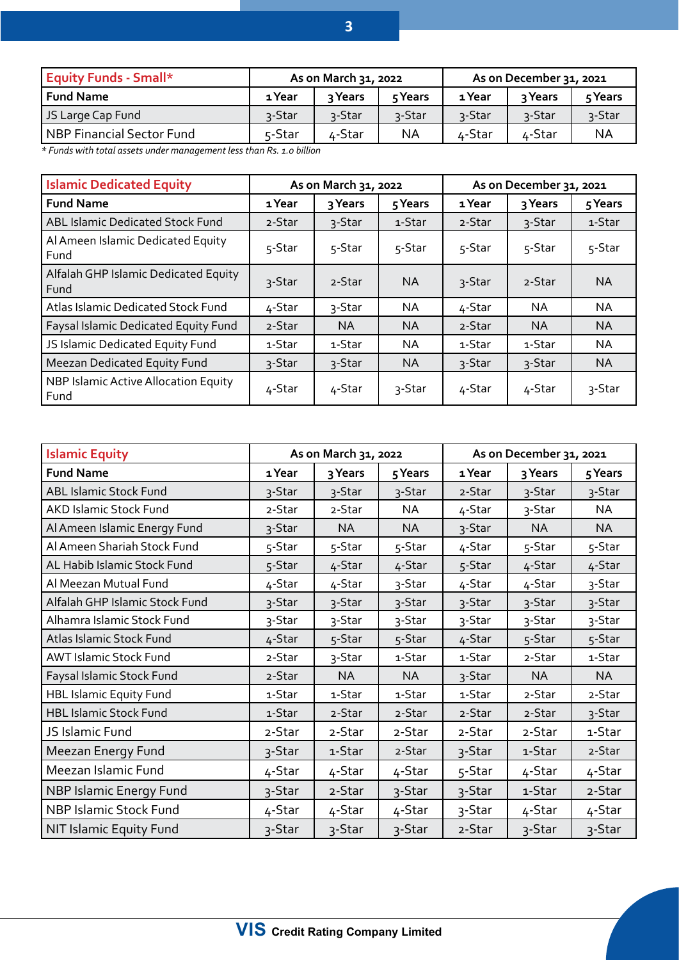| 1 Year  | २ Years | 5 Years | 1 Year               | २ Years | 5 Years                 |
|---------|---------|---------|----------------------|---------|-------------------------|
| ้ว-Star | 3-Star  | 3-Star  | 3-Star               | 3-Star  | 3-Star                  |
| 5-Star  | 4-Star  | NA      | 4-Star               | 4-Star  | ΝA                      |
|         |         |         | As on March 31, 2022 |         | As on December 31, 2021 |

*\* Funds with total assets under management less than Rs. 1.0 billion*

| <b>Islamic Dedicated Equity</b>              |        | As on March 31, 2022 |           | As on December 31, 2021 |           |           |
|----------------------------------------------|--------|----------------------|-----------|-------------------------|-----------|-----------|
| <b>Fund Name</b>                             | 1 Year | 3 Years              | 5 Years   | 1 Year                  | 3 Years   | 5 Years   |
| <b>ABL Islamic Dedicated Stock Fund</b>      | 2-Star | 3-Star               | 1-Star    | 2-Star                  | 3-Star    | 1-Star    |
| Al Ameen Islamic Dedicated Equity<br>Fund    | 5-Star | 5-Star               | 5-Star    | 5-Star                  | 5-Star    | 5-Star    |
| Alfalah GHP Islamic Dedicated Equity<br>Fund | 3-Star | 2-Star               | <b>NA</b> | 3-Star                  | 2-Star    | <b>NA</b> |
| Atlas Islamic Dedicated Stock Fund           | 4-Star | 3-Star               | <b>NA</b> | 4-Star                  | <b>NA</b> | <b>NA</b> |
| Faysal Islamic Dedicated Equity Fund         | 2-Star | ΝA                   | <b>NA</b> | 2-Star                  | <b>NA</b> | <b>NA</b> |
| JS Islamic Dedicated Equity Fund             | 1-Star | 1-Star               | <b>NA</b> | 1-Star                  | 1-Star    | <b>NA</b> |
| Meezan Dedicated Equity Fund                 | 3-Star | 3-Star               | <b>NA</b> | 3-Star                  | 3-Star    | <b>NA</b> |
| NBP Islamic Active Allocation Equity<br>Fund | 4-Star | 4-Star               | 3-Star    | 4-Star                  | 4-Star    | 3-Star    |

| <b>Islamic Equity</b>          | As on March 31, 2022 |           |           | As on December 31, 2021 |           |           |
|--------------------------------|----------------------|-----------|-----------|-------------------------|-----------|-----------|
| <b>Fund Name</b>               | 1 Year               | 3 Years   | 5 Years   | 1 Year                  | 3 Years   | 5 Years   |
| ABL Islamic Stock Fund         | 3-Star               | 3-Star    | 3-Star    | 2-Star                  | 3-Star    | 3-Star    |
| AKD Islamic Stock Fund         | 2-Star               | 2-Star    | <b>NA</b> | 4-Star                  | 3-Star    | <b>NA</b> |
| Al Ameen Islamic Energy Fund   | 3-Star               | <b>NA</b> | NA        | 3-Star                  | <b>NA</b> | NA        |
| Al Ameen Shariah Stock Fund    | 5-Star               | 5-Star    | 5-Star    | 4-Star                  | 5-Star    | 5-Star    |
| AL Habib Islamic Stock Fund    | 5-Star               | 4-Star    | 4-Star    | 5-Star                  | 4-Star    | 4-Star    |
| Al Meezan Mutual Fund          | 4-Star               | 4-Star    | 3-Star    | 4-Star                  | 4-Star    | 3-Star    |
| Alfalah GHP Islamic Stock Fund | 3-Star               | 3-Star    | 3-Star    | 3-Star                  | 3-Star    | 3-Star    |
| Alhamra Islamic Stock Fund     | 3-Star               | 3-Star    | 3-Star    | 3-Star                  | 3-Star    | 3-Star    |
| Atlas Islamic Stock Fund       | 4-Star               | 5-Star    | 5-Star    | 4-Star                  | 5-Star    | 5-Star    |
| <b>AWT Islamic Stock Fund</b>  | 2-Star               | 3-Star    | 1-Star    | 1-Star                  | 2-Star    | 1-Star    |
| Faysal Islamic Stock Fund      | 2-Star               | <b>NA</b> | <b>NA</b> | 3-Star                  | <b>NA</b> | <b>NA</b> |
| <b>HBL Islamic Equity Fund</b> | 1-Star               | 1-Star    | 1-Star    | 1-Star                  | 2-Star    | 2-Star    |
| <b>HBL Islamic Stock Fund</b>  | 1-Star               | 2-Star    | 2-Star    | 2-Star                  | 2-Star    | 3-Star    |
| JS Islamic Fund                | 2-Star               | 2-Star    | 2-Star    | 2-Star                  | 2-Star    | 1-Star    |
| Meezan Energy Fund             | 3-Star               | 1-Star    | 2-Star    | 3-Star                  | 1-Star    | 2-Star    |
| Meezan Islamic Fund            | 4-Star               | 4-Star    | 4-Star    | 5-Star                  | 4-Star    | 4-Star    |
| NBP Islamic Energy Fund        | 3-Star               | 2-Star    | 3-Star    | 3-Star                  | 1-Star    | 2-Star    |
| NBP Islamic Stock Fund         | 4-Star               | 4-Star    | 4-Star    | 3-Star                  | 4-Star    | 4-Star    |
| NIT Islamic Equity Fund        | 3-Star               | 3-Star    | 3-Star    | 2-Star                  | 3-Star    | 3-Star    |